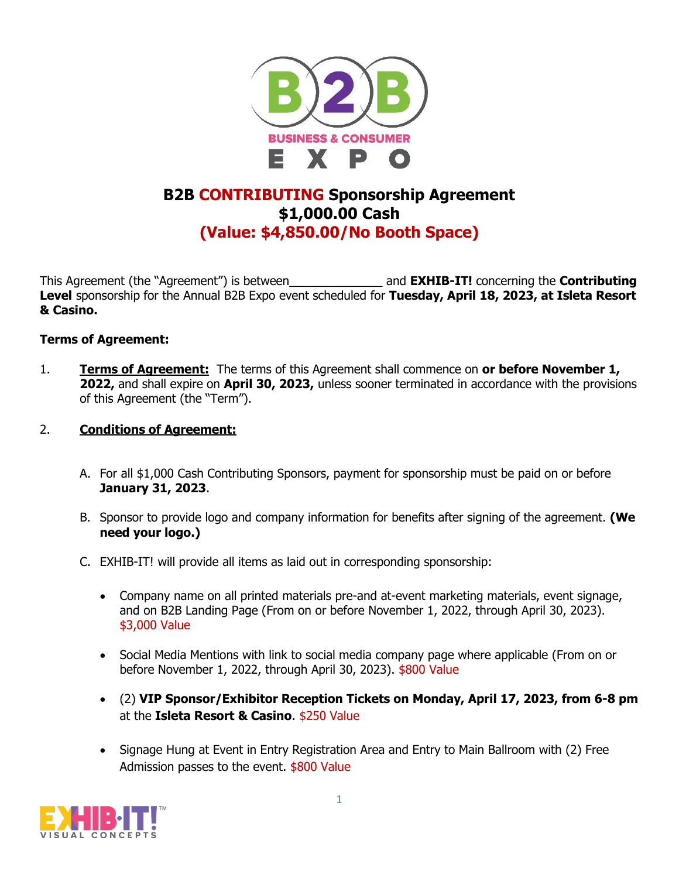

## **B2B CONTRIBUTING Sponsorship Agreement \$1,000.00 Cash (Value: \$4,850.00/No Booth Space)**

This Agreement (the "Agreement") is between\_\_\_\_\_\_\_\_\_\_\_\_\_\_ and **EXHIB-IT!** concerning the **Contributing Level** sponsorship for the Annual B2B Expo event scheduled for **Tuesday, April 18, 2023, at Isleta Resort & Casino.**

## **Terms of Agreement:**

1. **Terms of Agreement:** The terms of this Agreement shall commence on **or before November 1, 2022,** and shall expire on **April 30, 2023,** unless sooner terminated in accordance with the provisions of this Agreement (the "Term").

## 2. **Conditions of Agreement:**

- A. For all \$1,000 Cash Contributing Sponsors, payment for sponsorship must be paid on or before **January 31, 2023**.
- B. Sponsor to provide logo and company information for benefits after signing of the agreement. **(We need your logo.)**
- C. EXHIB-IT! will provide all items as laid out in corresponding sponsorship:
	- Company name on all printed materials pre-and at-event marketing materials, event signage, and on B2B Landing Page (From on or before November 1, 2022, through April 30, 2023). \$3,000 Value
	- Social Media Mentions with link to social media company page where applicable (From on or before November 1, 2022, through April 30, 2023). \$800 Value
	- (2) **VIP Sponsor/Exhibitor Reception Tickets on Monday, April 17, 2023, from 6-8 pm** at the **Isleta Resort & Casino**. \$250 Value
	- Signage Hung at Event in Entry Registration Area and Entry to Main Ballroom with (2) Free Admission passes to the event. \$800 Value